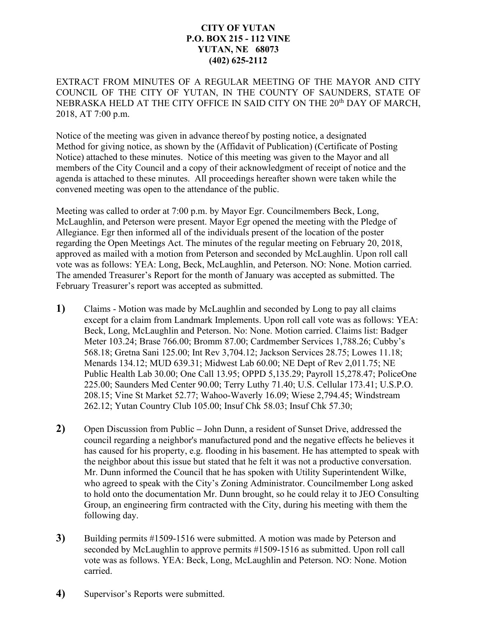## **CITY OF YUTAN P.O. BOX 215 - 112 VINE YUTAN, NE 68073 (402) 625-2112**

EXTRACT FROM MINUTES OF A REGULAR MEETING OF THE MAYOR AND CITY COUNCIL OF THE CITY OF YUTAN, IN THE COUNTY OF SAUNDERS, STATE OF NEBRASKA HELD AT THE CITY OFFICE IN SAID CITY ON THE 20<sup>th</sup> DAY OF MARCH, 2018, AT 7:00 p.m.

Notice of the meeting was given in advance thereof by posting notice, a designated Method for giving notice, as shown by the (Affidavit of Publication) (Certificate of Posting Notice) attached to these minutes. Notice of this meeting was given to the Mayor and all members of the City Council and a copy of their acknowledgment of receipt of notice and the agenda is attached to these minutes. All proceedings hereafter shown were taken while the convened meeting was open to the attendance of the public.

Meeting was called to order at 7:00 p.m. by Mayor Egr. Councilmembers Beck, Long, McLaughlin, and Peterson were present. Mayor Egr opened the meeting with the Pledge of Allegiance. Egr then informed all of the individuals present of the location of the poster regarding the Open Meetings Act. The minutes of the regular meeting on February 20, 2018, approved as mailed with a motion from Peterson and seconded by McLaughlin. Upon roll call vote was as follows: YEA: Long, Beck, McLaughlin, and Peterson. NO: None. Motion carried. The amended Treasurer's Report for the month of January was accepted as submitted. The February Treasurer's report was accepted as submitted.

- **1)** Claims Motion was made by McLaughlin and seconded by Long to pay all claims except for a claim from Landmark Implements. Upon roll call vote was as follows: YEA: Beck, Long, McLaughlin and Peterson. No: None. Motion carried. Claims list: Badger Meter 103.24; Brase 766.00; Bromm 87.00; Cardmember Services 1,788.26; Cubby's 568.18; Gretna Sani 125.00; Int Rev 3,704.12; Jackson Services 28.75; Lowes 11.18; Menards 134.12; MUD 639.31; Midwest Lab 60.00; NE Dept of Rev 2,011.75; NE Public Health Lab 30.00; One Call 13.95; OPPD 5,135.29; Payroll 15,278.47; PoliceOne 225.00; Saunders Med Center 90.00; Terry Luthy 71.40; U.S. Cellular 173.41; U.S.P.O. 208.15; Vine St Market 52.77; Wahoo-Waverly 16.09; Wiese 2,794.45; Windstream 262.12; Yutan Country Club 105.00; Insuf Chk 58.03; Insuf Chk 57.30;
- **2)** Open Discussion from Public **–** John Dunn, a resident of Sunset Drive, addressed the council regarding a neighbor's manufactured pond and the negative effects he believes it has caused for his property, e.g. flooding in his basement. He has attempted to speak with the neighbor about this issue but stated that he felt it was not a productive conversation. Mr. Dunn informed the Council that he has spoken with Utility Superintendent Wilke, who agreed to speak with the City's Zoning Administrator. Councilmember Long asked to hold onto the documentation Mr. Dunn brought, so he could relay it to JEO Consulting Group, an engineering firm contracted with the City, during his meeting with them the following day.
- **3)** Building permits #1509-1516 were submitted. A motion was made by Peterson and seconded by McLaughlin to approve permits #1509-1516 as submitted. Upon roll call vote was as follows. YEA: Beck, Long, McLaughlin and Peterson. NO: None. Motion carried.
- **4)** Supervisor's Reports were submitted.